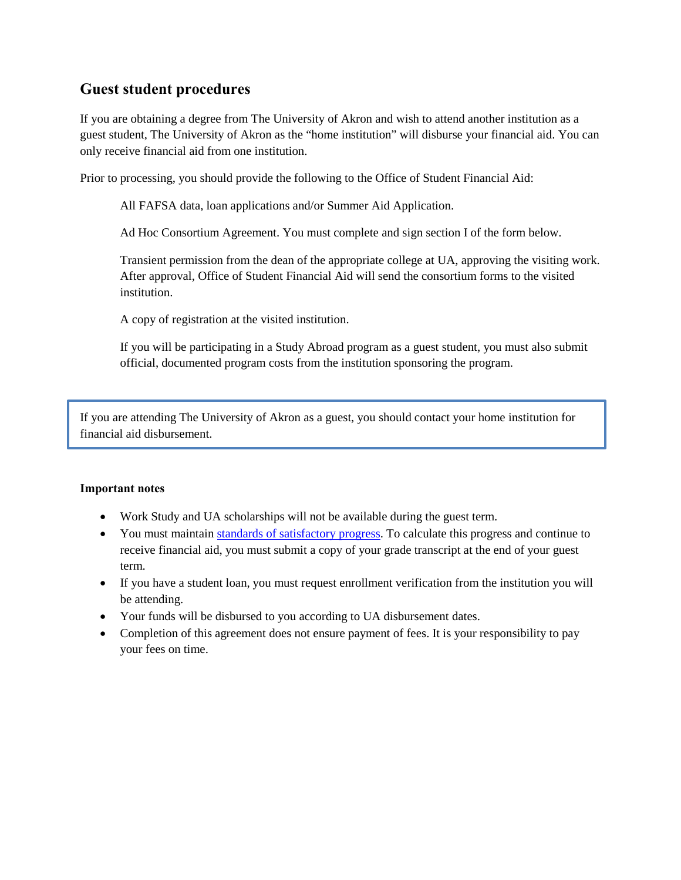## **Guest student procedures**

If you are obtaining a degree from The University of Akron and wish to attend another institution as a guest student, The University of Akron as the "home institution" will disburse your financial aid. You can only receive financial aid from one institution.

Prior to processing, you should provide the following to the Office of Student Financial Aid:

All FAFSA data, loan applications and/or Summer Aid Application.

Ad Hoc Consortium Agreement. You must complete and sign section I of the form below.

Transient permission from the dean of the appropriate college at UA, approving the visiting work. After approval, Office of Student Financial Aid will send the consortium forms to the visited institution.

A copy of registration at the visited institution.

If you will be participating in a Study Abroad program as a guest student, you must also submit official, documented program costs from the institution sponsoring the program.

If you are attending The University of Akron as a guest, you should contact your home institution for financial aid disbursement.

## **Important notes**

- Work Study and UA scholarships will not be available during the guest term.
- You must maintain [standards of satisfactory progress.](http://www.uakron.edu/finaid/maintaining-aid/academic-progress.dot) To calculate this progress and continue to receive financial aid, you must submit a copy of your grade transcript at the end of your guest term.
- If you have a student loan, you must request enrollment verification from the institution you will be attending.
- Your funds will be disbursed to you according to UA disbursement dates.
- Completion of this agreement does not ensure payment of fees. It is your responsibility to pay your fees on time.